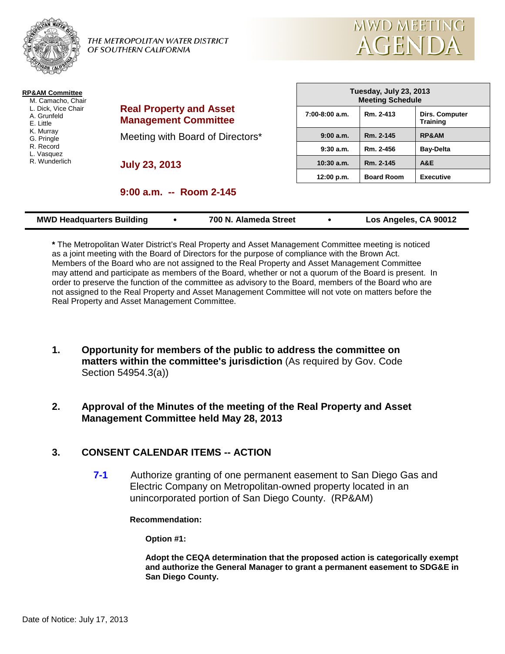



| <b>RP&amp;AM Committee</b><br>M. Camacho, Chair<br>L. Dick, Vice Chair<br>A. Grunfeld<br>E. Little | <b>Real Property and Asset</b><br><b>Management Committee</b> |
|----------------------------------------------------------------------------------------------------|---------------------------------------------------------------|
| K. Murray<br>G. Pringle<br>R. Record<br>L. Vasquez                                                 | Meeting with Board of Directors*                              |
| R. Wunderlich                                                                                      | <b>July 23, 2013</b>                                          |

| Tuesday, July 23, 2013<br><b>Meeting Schedule</b> |                   |                                   |  |  |  |
|---------------------------------------------------|-------------------|-----------------------------------|--|--|--|
| $7:00-8:00$ a.m.                                  | Rm. 2-413         | Dirs. Computer<br><b>Training</b> |  |  |  |
| 9:00a.m.                                          | Rm. 2-145         | <b>RP&amp;AM</b>                  |  |  |  |
| 9:30a.m.                                          | Rm. 2-456         | <b>Bay-Delta</b>                  |  |  |  |
| $10:30$ a.m.                                      | Rm. 2-145         | A&E                               |  |  |  |
| 12:00 p.m.                                        | <b>Board Room</b> | <b>Executive</b>                  |  |  |  |

# **9:00 a.m. -- Room 2-145**

|  | <b>MWD Headquarters Building</b> |  | 700 N. Alameda Street |  | Los Angeles, CA 90012 |
|--|----------------------------------|--|-----------------------|--|-----------------------|
|--|----------------------------------|--|-----------------------|--|-----------------------|

**\*** The Metropolitan Water District's Real Property and Asset Management Committee meeting is noticed as a joint meeting with the Board of Directors for the purpose of compliance with the Brown Act. Members of the Board who are not assigned to the Real Property and Asset Management Committee may attend and participate as members of the Board, whether or not a quorum of the Board is present. In order to preserve the function of the committee as advisory to the Board, members of the Board who are not assigned to the Real Property and Asset Management Committee will not vote on matters before the Real Property and Asset Management Committee.

**1. Opportunity for members of the public to address the committee on matters within the committee's jurisdiction** (As required by Gov. Code Section 54954.3(a))

# **2. Approval of the Minutes of the meeting of the Real Property and Asset Management Committee held May 28, 2013**

# **3. CONSENT CALENDAR ITEMS -- ACTION**

**7-1** Authorize granting of one permanent easement to San Diego Gas and Electric Company on Metropolitan-owned property located in an unincorporated portion of San Diego County. (RP&AM)

#### **Recommendation:**

**Option #1:**

**Adopt the CEQA determination that the proposed action is categorically exempt and authorize the General Manager to grant a permanent easement to SDG&E in San Diego County.**